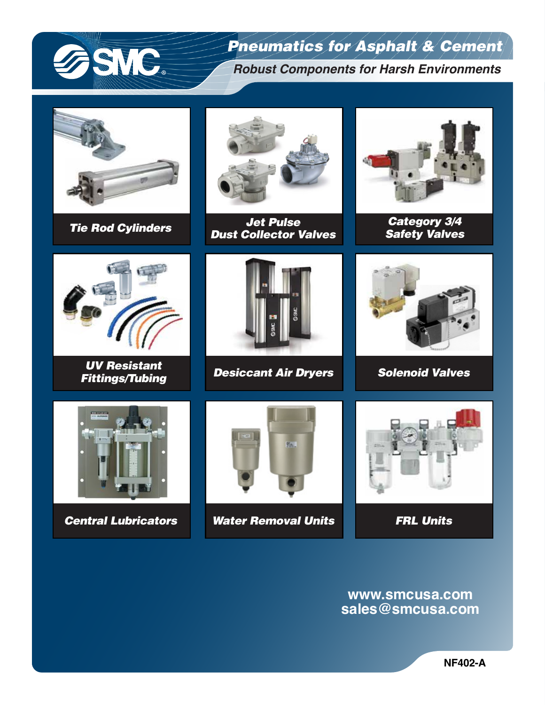

## *Pneumatics for Asphalt & Cement*

*Robust Components for Harsh Environments*





*Tie Rod Cylinders Jet Pulse Dust Collector Valves*



*Category 3/4 Safety Valves*



*UV Resistant Fittings/Tubing*



*Desiccant Air Dryers Solenoid Valves*







*Central Lubricators Water Removal Units FRL Units*



**www.smcusa.com sales@smcusa.com**